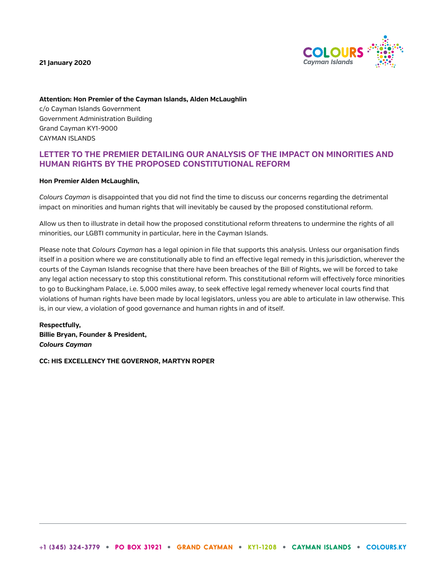**21 January 2020**



**Attention: Hon Premier of the Cayman Islands, Alden McLaughlin** c/o Cayman Islands Government Government Administration Building Grand Cayman KY1-9000 CAYMAN ISLANDS

# **LETTER TO THE PREMIER DETAILING OUR ANALYSIS OF THE IMPACT ON MINORITIES AND HUMAN RIGHTS BY THE PROPOSED CONSTITUTIONAL REFORM**

### **Hon Premier Alden McLaughlin,**

*Colours Cayman* is disappointed that you did not find the time to discuss our concerns regarding the detrimental impact on minorities and human rights that will inevitably be caused by the proposed constitutional reform.

Allow us then to illustrate in detail how the proposed constitutional reform threatens to undermine the rights of all minorities, our LGBTI community in particular, here in the Cayman Islands.

Please note that *Colours Cayman* has a legal opinion in file that supports this analysis. Unless our organisation finds itself in a position where we are constitutionally able to find an effective legal remedy in this jurisdiction, wherever the courts of the Cayman Islands recognise that there have been breaches of the Bill of Rights, we will be forced to take any legal action necessary to stop this constitutional reform. This constitutional reform will effectively force minorities to go to Buckingham Palace, i.e. 5,000 miles away, to seek effective legal remedy whenever local courts find that violations of human rights have been made by local legislators, unless you are able to articulate in law otherwise. This is, in our view, a violation of good governance and human rights in and of itself.

**Respectfully, Billie Bryan, Founder & President,** *Colours Cayman*

**CC: HIS EXCELLENCY THE GOVERNOR, MARTYN ROPER**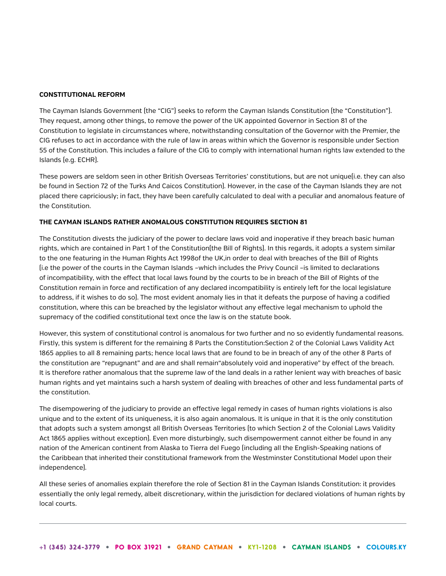### **CONSTITUTIONAL REFORM**

The Cayman Islands Government (the "CIG") seeks to reform the Cayman Islands Constitution (the "Constitution"). They request, among other things, to remove the power of the UK appointed Governor in Section 81 of the Constitution to legislate in circumstances where, notwithstanding consultation of the Governor with the Premier, the CIG refuses to act in accordance with the rule of law in areas within which the Governor is responsible under Section 55 of the Constitution. This includes a failure of the CIG to comply with international human rights law extended to the Islands (e.g. ECHR).

These powers are seldom seen in other British Overseas Territories' constitutions, but are not unique(i.e. they can also be found in Section 72 of the Turks And Caicos Constitution). However, in the case of the Cayman Islands they are not placed there capriciously; in fact, they have been carefully calculated to deal with a peculiar and anomalous feature of the Constitution.

## **THE CAYMAN ISLANDS RATHER ANOMALOUS CONSTITUTION REQUIRES SECTION 81**

The Constitution divests the judiciary of the power to declare laws void and inoperative if they breach basic human rights, which are contained in Part 1 of the Constitution(the Bill of Rights). In this regards, it adopts a system similar to the one featuring in the Human Rights Act 1998of the UK,in order to deal with breaches of the Bill of Rights (i.e the power of the courts in the Cayman Islands –which includes the Privy Council –is limited to declarations of incompatibility, with the effect that local laws found by the courts to be in breach of the Bill of Rights of the Constitution remain in force and rectification of any declared incompatibility is entirely left for the local legislature to address, if it wishes to do so). The most evident anomaly lies in that it defeats the purpose of having a codified constitution, where this can be breached by the legislator without any effective legal mechanism to uphold the supremacy of the codified constitutional text once the law is on the statute book.

However, this system of constitutional control is anomalous for two further and no so evidently fundamental reasons. Firstly, this system is different for the remaining 8 Parts the Constitution:Section 2 of the Colonial Laws Validity Act 1865 applies to all 8 remaining parts; hence local laws that are found to be in breach of any of the other 8 Parts of the constitution are "repugnant" and are and shall remain"absolutely void and inoperative" by effect of the breach. It is therefore rather anomalous that the supreme law of the land deals in a rather lenient way with breaches of basic human rights and yet maintains such a harsh system of dealing with breaches of other and less fundamental parts of the constitution.

The disempowering of the judiciary to provide an effective legal remedy in cases of human rights violations is also unique and to the extent of its uniqueness, it is also again anomalous. It is unique in that it is the only constitution that adopts such a system amongst all British Overseas Territories (to which Section 2 of the Colonial Laws Validity Act 1865 applies without exception). Even more disturbingly, such disempowerment cannot either be found in any nation of the American continent from Alaska to Tierra del Fuego (including all the English-Speaking nations of the Caribbean that inherited their constitutional framework from the Westminster Constitutional Model upon their independence).

All these series of anomalies explain therefore the role of Section 81 in the Cayman Islands Constitution: it provides essentially the only legal remedy, albeit discretionary, within the jurisdiction for declared violations of human rights by local courts.